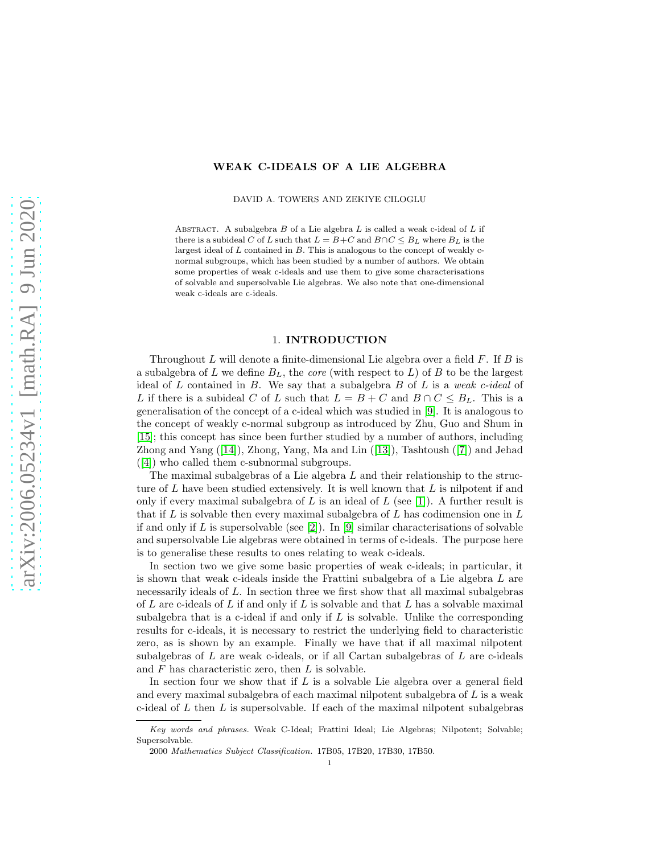## WEAK C-IDEALS OF A LIE ALGEBRA

DAVID A. TOWERS AND ZEKIYE CILOGLU

ABSTRACT. A subalgebra  $B$  of a Lie algebra  $L$  is called a weak c-ideal of  $L$  if there is a subideal C of L such that  $L = B + C$  and  $B \cap C \leq B_L$  where  $B_L$  is the largest ideal of  $L$  contained in  $B$ . This is analogous to the concept of weakly cnormal subgroups, which has been studied by a number of authors. We obtain some properties of weak c-ideals and use them to give some characterisations of solvable and supersolvable Lie algebras. We also note that one-dimensional weak c-ideals are c-ideals.

### 1. INTRODUCTION

Throughout  $L$  will denote a finite-dimensional Lie algebra over a field  $F$ . If  $B$  is a subalgebra of  $L$  we define  $B_L$ , the *core* (with respect to  $L$ ) of  $B$  to be the largest ideal of L contained in B. We say that a subalgebra B of L is a *weak c-ideal* of L if there is a subideal C of L such that  $L = B + C$  and  $B \cap C \leq B_L$ . This is a generalisation of the concept of a c-ideal which was studied in [\[9\]](#page-8-0). It is analogous to the concept of weakly c-normal subgroup as introduced by Zhu, Guo and Shum in [15]; this concept has since been further studied by a number of authors, including Zhong and Yang ([\[14\]](#page-8-1)), Zhong, Yang, Ma and Lin ([13]), Tashtoush ([\[7\]](#page-8-2)) and Jehad ([\[4\]](#page-8-3)) who called them c-subnormal subgroups.

The maximal subalgebras of a Lie algebra  $L$  and their relationship to the structure of  $L$  have been studied extensively. It is well known that  $L$  is nilpotent if and only if every maximal subalgebra of L is an ideal of L (see [\[1\]](#page-8-4)). A further result is that if  $L$  is solvable then every maximal subalgebra of  $L$  has codimension one in  $L$ if and only if L is supersolvable (see [\[2\]](#page-8-5)). In [\[9\]](#page-8-0) similar characterisations of solvable and supersolvable Lie algebras were obtained in terms of c-ideals. The purpose here is to generalise these results to ones relating to weak c-ideals.

In section two we give some basic properties of weak c-ideals; in particular, it is shown that weak c-ideals inside the Frattini subalgebra of a Lie algebra L are necessarily ideals of L. In section three we first show that all maximal subalgebras of L are c-ideals of L if and only if L is solvable and that L has a solvable maximal subalgebra that is a c-ideal if and only if  $L$  is solvable. Unlike the corresponding results for c-ideals, it is necessary to restrict the underlying field to characteristic zero, as is shown by an example. Finally we have that if all maximal nilpotent subalgebras of  $L$  are weak c-ideals, or if all Cartan subalgebras of  $L$  are c-ideals and  $F$  has characteristic zero, then  $L$  is solvable.

In section four we show that if  $L$  is a solvable Lie algebra over a general field and every maximal subalgebra of each maximal nilpotent subalgebra of  $L$  is a weak c-ideal of  $L$  then  $L$  is supersolvable. If each of the maximal nilpotent subalgebras

Key words and phrases. Weak C-Ideal; Frattini Ideal; Lie Algebras; Nilpotent; Solvable; Supersolvable.

<sup>2000</sup> Mathematics Subject Classification. 17B05, 17B20, 17B30, 17B50.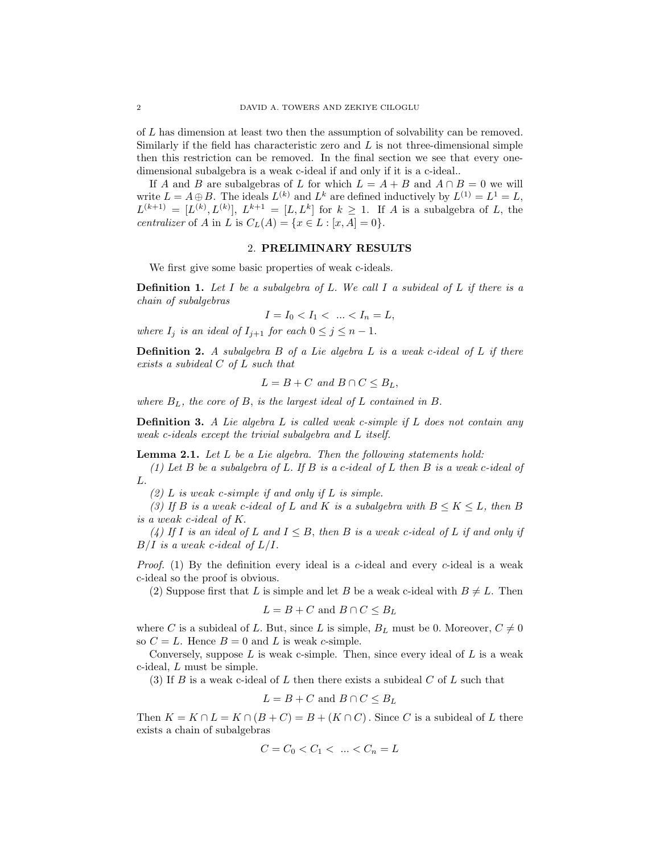of L has dimension at least two then the assumption of solvability can be removed. Similarly if the field has characteristic zero and  $L$  is not three-dimensional simple then this restriction can be removed. In the final section we see that every onedimensional subalgebra is a weak c-ideal if and only if it is a c-ideal..

If A and B are subalgebras of L for which  $L = A + B$  and  $A \cap B = 0$  we will write  $L = A \oplus B$ . The ideals  $L^{(k)}$  and  $L^k$  are defined inductively by  $L^{(1)} = L^1 = L$ ,  $L^{(k+1)} = [L^{(k)}, L^{(k)}], L^{k+1} = [L, L^k]$  for  $k \geq 1$ . If A is a subalgebra of L, the *centralizer* of A in L is  $C_L(A) = \{x \in L : [x, A] = 0\}.$ 

### 2. PRELIMINARY RESULTS

We first give some basic properties of weak c-ideals.

Definition 1. *Let* I *be a subalgebra of* L. *We call* I *a subideal of* L *if there is a chain of subalgebras*

$$
I = I_0 < I_1 < \dots < I_n = L,
$$

*where*  $I_j$  *is an ideal of*  $I_{j+1}$  *for each*  $0 \leq j \leq n-1$ .

Definition 2. *A subalgebra* B *of a Lie algebra* L *is a weak* c*-*ideal *of* L *if there exists a subideal* C *of* L *such that*

$$
L = B + C \text{ and } B \cap C \leq B_L,
$$

*where* BL*, the core of* B, *is the largest ideal of* L *contained in* B.

Definition 3. *A Lie algebra* L *is called weak c-simple if* L *does not contain any weak c-ideals except the trivial subalgebra and* L *itself.*

Lemma 2.1. *Let* L *be a Lie algebra. Then the following statements hold:*

*(1) Let* B *be a subalgebra of* L. *If* B *is a* c*-*ideal *of* L *then* B *is a weak* c*-ideal of* L.

*(2)* L *is* weak c*-*simple *if and only if* L *is simple.*

*(3)* If B is a weak c-ideal of L and K is a subalgebra with  $B \leq K \leq L$ , then B *is a* weak c*-*ideal *of* K.

*(4)* If I is an ideal of L and  $I \leq B$ , then B is a weak c-ideal of L if and only if  $B/I$  *is a weak c-ideal of*  $L/I$ *.* 

*Proof.* (1) By the definition every ideal is a c-ideal and every c-ideal is a weak c-ideal so the proof is obvious.

(2) Suppose first that L is simple and let B be a weak c-ideal with  $B \neq L$ . Then

$$
L = B + C \text{ and } B \cap C \leq B_L
$$

where C is a subideal of L. But, since L is simple,  $B_L$  must be 0. Moreover,  $C \neq 0$ so  $C = L$ . Hence  $B = 0$  and L is weak c-simple.

Conversely, suppose L is weak c-simple. Then, since every ideal of L is a weak c-ideal, L must be simple.

(3) If B is a weak c-ideal of L then there exists a subideal C of L such that

$$
L = B + C \text{ and } B \cap C \leq B_L
$$

Then  $K = K \cap L = K \cap (B + C) = B + (K \cap C)$ . Since C is a subideal of L there exists a chain of subalgebras

$$
C = C_0 < C_1 < \dots < C_n = L
$$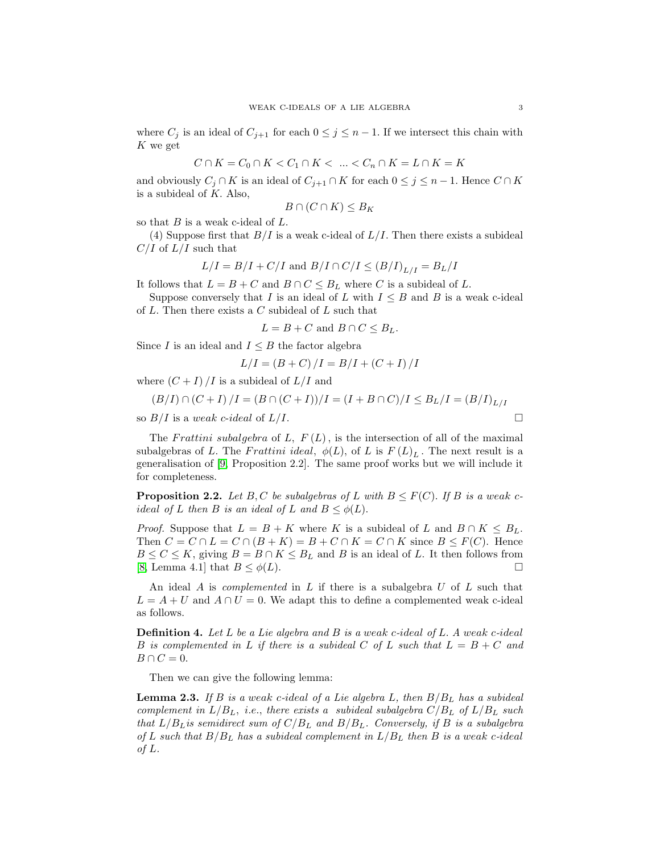where  $C_j$  is an ideal of  $C_{j+1}$  for each  $0 \leq j \leq n-1$ . If we intersect this chain with K we get

$$
C\cap K=C_0\cap K
$$

and obviously  $C_j \cap K$  is an ideal of  $C_{j+1} \cap K$  for each  $0 \leq j \leq n-1$ . Hence  $C \cap K$ is a subideal of  $K$ . Also,

$$
B \cap (C \cap K) \leq B_K
$$

so that  $B$  is a weak c-ideal of  $L$ .

(4) Suppose first that  $B/I$  is a weak c-ideal of  $L/I$ . Then there exists a subideal  $C/I$  of  $L/I$  such that

$$
L/I = B/I + C/I
$$
 and  $B/I \cap C/I \leq (B/I)_{L/I} = B_L/I$ 

It follows that  $L = B + C$  and  $B \cap C \leq B_L$  where C is a subideal of L.

Suppose conversely that I is an ideal of L with  $I \leq B$  and B is a weak c-ideal of  $L$ . Then there exists a  $C$  subideal of  $L$  such that

$$
L = B + C \text{ and } B \cap C \leq B_L.
$$

Since I is an ideal and  $I \leq B$  the factor algebra

$$
L/I = (B + C)/I = B/I + (C + I)/I
$$

where  $(C + I) / I$  is a subideal of  $L / I$  and

$$
(B/I) \cap (C+I) / I = (B \cap (C+I))/I = (I + B \cap C) / I \leq B_L / I = (B/I)_{L/I}
$$
  
so  $B/I$  is a weak *c*-ideal of  $L/I$ .

The Frattini subalgebra of L,  $F(L)$ , is the intersection of all of the maximal subalgebras of L. The Frattini ideal,  $\phi(L)$ , of L is  $F(L)<sub>L</sub>$ . The next result is a generalisation of [\[9,](#page-8-0) Proposition 2.2]. The same proof works but we will include it for completeness.

**Proposition 2.2.** Let B, C be subalgebras of L with  $B \leq F(C)$ . If B is a weak c*ideal of* L *then* B *is an ideal of* L *and*  $B \leq \phi(L)$ .

*Proof.* Suppose that  $L = B + K$  where K is a subideal of L and  $B \cap K \leq B_L$ . Then  $C = C \cap L = C \cap (B + K) = B + C \cap K = C \cap K$  since  $B \leq F(C)$ . Hence  $B \leq C \leq K$ , giving  $B = B \cap K \leq B_L$  and B is an ideal of L. It then follows from [8, Lemma 4.1] that  $B \leq \phi(L)$ .

An ideal A is *complemented* in L if there is a subalgebra U of L such that  $L = A + U$  and  $A \cap U = 0$ . We adapt this to define a complemented weak c-ideal as follows.

Definition 4. *Let* L *be a Lie algebra and* B *is a* weak c*-*ideal *of* L. *A* weak c*-*ideal B is complemented in L if there is a subideal C of L such that  $L = B + C$  and  $B \cap C = 0.$ 

Then we can give the following lemma:

Lemma 2.3. *If* B *is a* weak c*-*ideal *of a Lie algebra* L*, then* B/B<sup>L</sup> *has a subideal complement in*  $L/B_L$ , *i.e.*, *there exists a subideal subalgebra*  $C/B_L$  *of*  $L/B_L$  *such that*  $L/B_L$ *is semidirect sum of*  $C/B_L$  *and*  $B/B_L$ *. Conversely, if* B *is a subalgebra of* L *such that* B/B<sup>L</sup> *has a subideal complement in* L/B<sup>L</sup> *then* B *is a* weak c*-*ideal *of* L*.*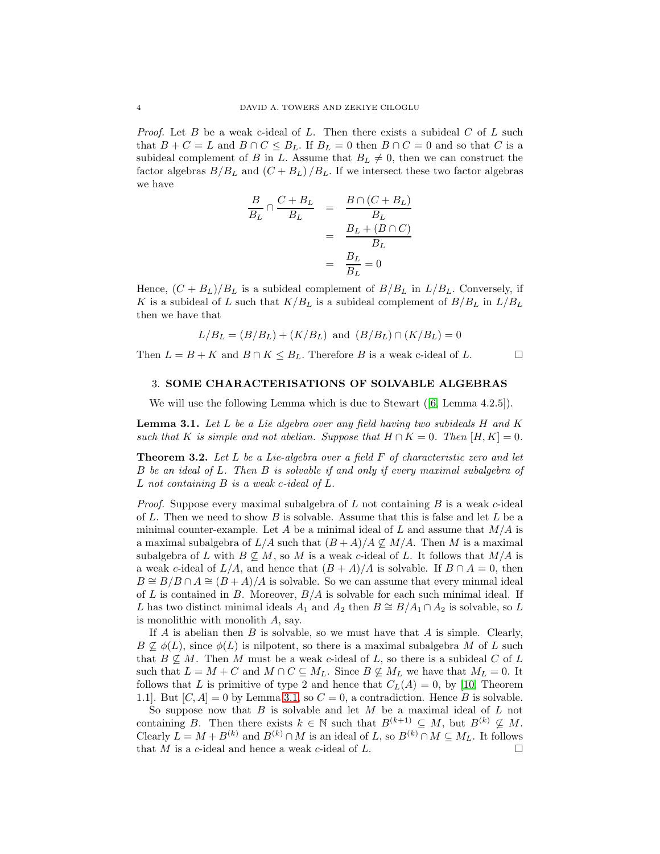*Proof.* Let B be a weak c-ideal of L. Then there exists a subideal  $C$  of L such that  $B + C = L$  and  $B \cap C \leq B_L$ . If  $B_L = 0$  then  $B \cap C = 0$  and so that C is a subideal complement of B in L. Assume that  $B_L \neq 0$ , then we can construct the factor algebras  $B/B_L$  and  $(C + B_L) / B_L$ . If we intersect these two factor algebras we have

$$
\frac{B}{B_L} \cap \frac{C + B_L}{B_L} = \frac{B \cap (C + B_L)}{B_L}
$$

$$
= \frac{B_L + (B \cap C)}{B_L}
$$

$$
= \frac{B_L}{B_L} = 0
$$

Hence,  $(C + B_L)/B_L$  is a subideal complement of  $B/B_L$  in  $L/B_L$ . Conversely, if K is a subideal of L such that  $K/B_L$  is a subideal complement of  $B/B_L$  in  $L/B_L$ then we have that

$$
L/B_L = (B/B_L) + (K/B_L)
$$
 and  $(B/B_L) \cap (K/B_L) = 0$ 

Then  $L = B + K$  and  $B \cap K \leq B_L$ . Therefore B is a weak c-ideal of L.

# 3. SOME CHARACTERISATIONS OF SOLVABLE ALGEBRAS

We will use the following Lemma which is due to Stewart  $([6, Lemma 4.2.5]).$  $([6, Lemma 4.2.5]).$  $([6, Lemma 4.2.5]).$ 

<span id="page-3-0"></span>Lemma 3.1. *Let* L *be a Lie algebra over any field having two subideals* H *and* K *such that* K *is simple and not abelian. Suppose that*  $H \cap K = 0$ *. Then*  $[H, K] = 0$ *.* 

Theorem 3.2. *Let* L *be a Lie-algebra over a field* F *of characteristic zero and let* B *be an ideal of* L*. Then* B *is solvable if and only if every maximal subalgebra of* L *not containing* B *is a weak* c*-ideal of* L.

*Proof.* Suppose every maximal subalgebra of  $L$  not containing  $B$  is a weak  $c$ -ideal of L. Then we need to show B is solvable. Assume that this is false and let L be a minimal counter-example. Let A be a minimal ideal of L and assume that  $M/A$  is a maximal subalgebra of  $L/A$  such that  $(B+A)/A \nsubseteq M/A$ . Then M is a maximal subalgebra of L with  $B \nsubseteq M$ , so M is a weak c-ideal of L. It follows that  $M/A$  is a weak c-ideal of  $L/A$ , and hence that  $(B+A)/A$  is solvable. If  $B \cap A = 0$ , then  $B \cong B/B \cap A \cong (B + A)/A$  is solvable. So we can assume that every minmal ideal of L is contained in B. Moreover,  $B/A$  is solvable for each such minimal ideal. If L has two distinct minimal ideals  $A_1$  and  $A_2$  then  $B \cong B/A_1 \cap A_2$  is solvable, so L is monolithic with monolith A, say.

If  $A$  is abelian then  $B$  is solvable, so we must have that  $A$  is simple. Clearly,  $B \nsubseteq \phi(L)$ , since  $\phi(L)$  is nilpotent, so there is a maximal subalgebra M of L such that  $B \nsubseteq M$ . Then M must be a weak c-ideal of L, so there is a subideal C of L such that  $L = M + C$  and  $M \cap C \subseteq M_L$ . Since  $B \nsubseteq M_L$  we have that  $M_L = 0$ . It follows that L is primitive of type 2 and hence that  $C_L(A) = 0$ , by [\[10,](#page-8-7) Theorem 1.1]. But  $[C, A] = 0$  by Lemma [3.1,](#page-3-0) so  $C = 0$ , a contradiction. Hence B is solvable.

So suppose now that  $B$  is solvable and let  $M$  be a maximal ideal of  $L$  not containing B. Then there exists  $k \in \mathbb{N}$  such that  $B^{(k+1)} \subseteq M$ , but  $B^{(k)} \nsubseteq M$ . Clearly  $L = M + B^{(k)}$  and  $B^{(k)} \cap M$  is an ideal of L, so  $B^{(k)} \cap M \subseteq M_L$ . It follows that M is a c-ideal and hence a weak c-ideal of L.  $\Box$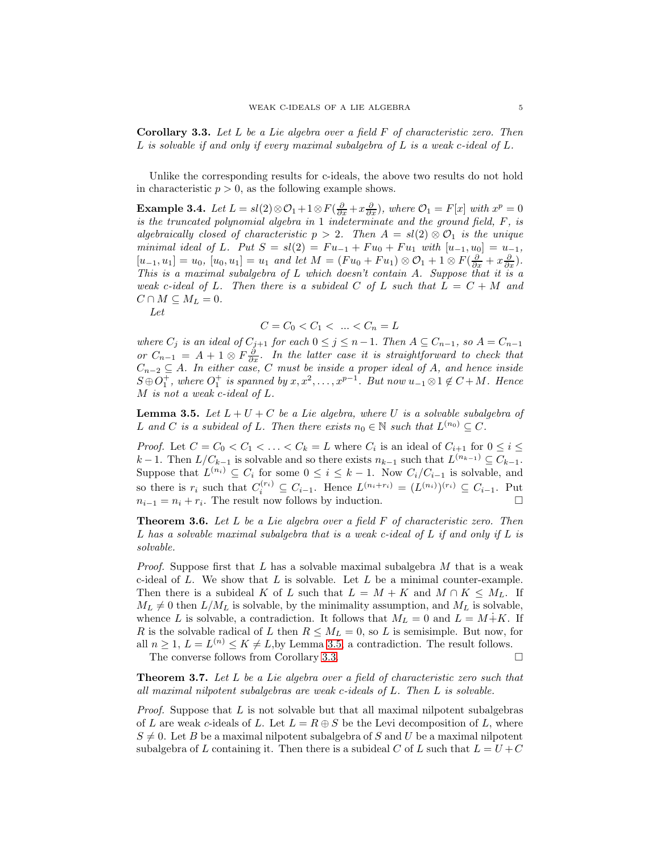<span id="page-4-1"></span>Corollary 3.3. *Let* L *be a Lie algebra over a field* F *of characteristic zero. Then* L *is solvable if and only if every maximal subalgebra of* L *is a weak* c*-ideal of* L*.*

Unlike the corresponding results for c-ideals, the above two results do not hold in characteristic  $p > 0$ , as the following example shows.

**Example 3.4.** *Let*  $L = sl(2) \otimes \mathcal{O}_1 + 1 \otimes F(\frac{\partial}{\partial x} + x \frac{\partial}{\partial x})$ , where  $\mathcal{O}_1 = F[x]$  with  $x^p = 0$ *is the truncated polynomial algebra in* 1 *indeterminate and the ground field,* F*, is algebraically closed of characteristic*  $p > 2$ *. Then*  $A = sl(2) \otimes \mathcal{O}_1$  *is the unique minimal ideal of* L*.* Put  $S = sl(2) = Fu_{-1} + Fu_0 + Fu_1$  with  $[u_{-1}, u_0] = u_{-1}$ ,  $[u_{-1}, u_1] = u_0$ ,  $[u_0, u_1] = u_1$  *and let*  $M = (Fu_0 + Fu_1) \otimes O_1 + 1 \otimes F(\frac{\partial}{\partial x} + x\frac{\partial}{\partial x})$ *. This is a maximal subalgebra of* L *which doesn't contain* A*. Suppose that it is a weak* c-ideal of L. Then there is a subideal C of L such that  $L = C + M$  and  $C \cap M \subseteq M_L = 0.$ 

*Let*

$$
C = C_0 < C_1 < \dots < C_n = L
$$

*where*  $C_j$  *is an ideal of*  $C_{j+1}$  *for each*  $0 \leq j \leq n-1$ . *Then*  $A \subseteq C_{n-1}$ *, so*  $A = C_{n-1}$ *or*  $C_{n-1}$  =  $A + 1 ⊗ F \frac{\partial}{\partial x}$ *. In the latter case it is straightforward to check that* Cn−<sup>2</sup> ⊆ A*. In either case,* C *must be inside a proper ideal of* A*, and hence inside*  $S \oplus \overline{O_1^+}$ , where  $O_1^+$  is spanned by  $x, x^2, \ldots, x^{p-1}$ . But now  $u_{-1} \otimes 1 \notin C + M$ . Hence M *is not a weak* c*-ideal of* L*.*

<span id="page-4-0"></span>Lemma 3.5. *Let* L + U + C *be a Lie algebra, where* U *is a solvable subalgebra of* L and C is a subideal of L. Then there exists  $n_0 \in \mathbb{N}$  such that  $L^{(n_0)} \subseteq C$ .

*Proof.* Let  $C = C_0 < C_1 < \ldots < C_k = L$  where  $C_i$  is an ideal of  $C_{i+1}$  for  $0 \leq i \leq L$  $k-1$ . Then  $L/C_{k-1}$  is solvable and so there exists  $n_{k-1}$  such that  $L^{(n_{k-1})} \subseteq C_{k-1}$ . Suppose that  $L^{(n_i)} \subseteq C_i$  for some  $0 \leq i \leq k-1$ . Now  $C_i/C_{i-1}$  is solvable, and so there is  $r_i$  such that  $C_i^{(r_i)} \subseteq C_{i-1}$ . Hence  $L^{(n_i+r_i)} = (L^{(n_i)})^{(r_i)} \subseteq C_{i-1}$ . Put  $n_{i-1} = n_i + r_i$ . The result now follows by induction.  $\Box$ 

Theorem 3.6. *Let* L *be a Lie algebra over a field* F *of characteristic zero. Then* L *has a solvable maximal subalgebra that is a weak c-ideal of* L *if and only if* L *is solvable.*

*Proof.* Suppose first that L has a solvable maximal subalgebra M that is a weak c-ideal of  $L$ . We show that  $L$  is solvable. Let  $L$  be a minimal counter-example. Then there is a subideal K of L such that  $L = M + K$  and  $M \cap K \leq M_L$ . If  $M_L \neq 0$  then  $L/M_L$  is solvable, by the minimality assumption, and  $M_L$  is solvable, whence L is solvable, a contradiction. It follows that  $M_L = 0$  and  $L = M + K$ . If R is the solvable radical of L then  $R \leq M_L = 0$ , so L is semisimple. But now, for all  $n \geq 1$ ,  $L = L^{(n)} \leq K \neq L$ , by Lemma [3.5,](#page-4-0) a contradiction. The result follows. The converse follows from Corollary [3.3.](#page-4-1)

Theorem 3.7. *Let* L *be a Lie algebra over a field of characteristic zero such that all maximal nilpotent subalgebras are weak* c*-ideals of* L*. Then* L *is solvable.*

*Proof.* Suppose that L is not solvable but that all maximal nilpotent subalgebras of L are weak c-ideals of L. Let  $L = R \oplus S$  be the Levi decomposition of L, where  $S \neq 0$ . Let B be a maximal nilpotent subalgebra of S and U be a maximal nilpotent subalgebra of L containing it. Then there is a subideal C of L such that  $L = U + C$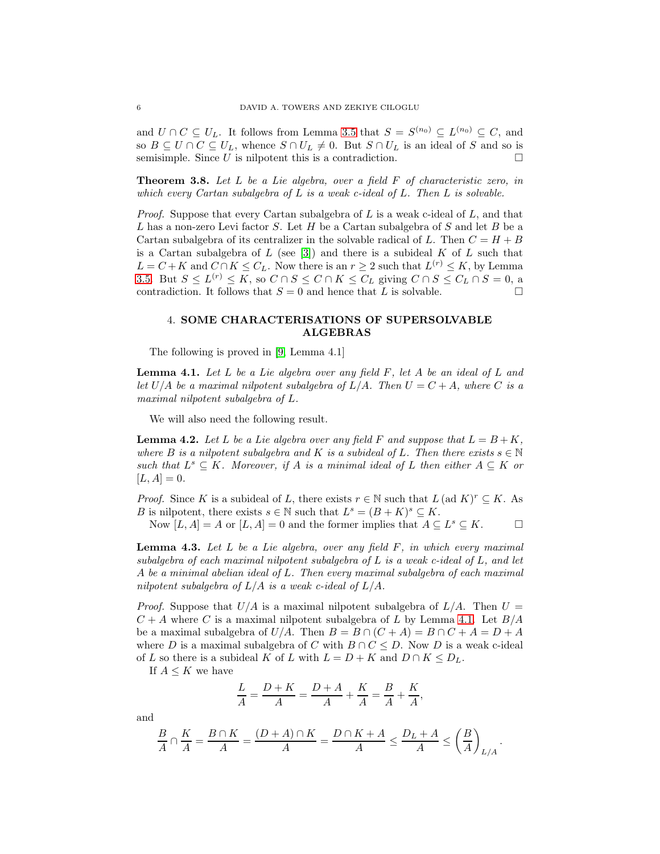and  $U \cap C \subseteq U_L$ . It follows from Lemma [3.5](#page-4-0) that  $S = S^{(n_0)} \subseteq L^{(n_0)} \subseteq C$ , and so  $B \subseteq U \cap C \subseteq U_L$ , whence  $S \cap U_L \neq 0$ . But  $S \cap U_L$  is an ideal of S and so is semisimple. Since U is nilpotent this is a contradiction.  $\Box$ 

Theorem 3.8. *Let* L *be a Lie algebra, over a field* F *of characteristic zero, in which every Cartan subalgebra of* L *is a weak c-ideal of* L*. Then* L *is solvable.*

*Proof.* Suppose that every Cartan subalgebra of L is a weak c-ideal of L, and that L has a non-zero Levi factor S. Let H be a Cartan subalgebra of S and let B be a Cartan subalgebra of its centralizer in the solvable radical of L. Then  $C = H + B$ is a Cartan subalgebra of  $L$  (see [\[3\]](#page-8-8)) and there is a subideal  $K$  of  $L$  such that  $L = C + K$  and  $C \cap K \leq C_L$ . Now there is an  $r \geq 2$  such that  $L^{(r)} \leq K$ , by Lemma [3.5.](#page-4-0) But  $S \le L^{(r)} \le K$ , so  $C \cap S \le C \cap K \le C_L$  giving  $C \cap S \le C_L \cap S = 0$ , a contradiction. It follows that  $S = 0$  and hence that L is solvable.

# 4. SOME CHARACTERISATIONS OF SUPERSOLVABLE ALGEBRAS

The following is proved in [\[9,](#page-8-0) Lemma 4.1]

<span id="page-5-0"></span>Lemma 4.1. *Let* L *be a Lie algebra over any field* F*, let* A *be an ideal of* L *and let*  $U/A$  *be a maximal nilpotent subalgebra of*  $L/A$ *. Then*  $U = C + A$ *, where* C *is a maximal nilpotent subalgebra of* L*.*

We will also need the following result.

<span id="page-5-1"></span>**Lemma 4.2.** Let L be a Lie algebra over any field F and suppose that  $L = B + K$ , *where* B *is a nilpotent subalgebra and* K *is a subideal of* L. Then there exists  $s \in \mathbb{N}$ such that  $L^s ⊆ K$ . Moreover, if A is a minimal ideal of L then either  $A ⊆ K$  or  $[L, A] = 0.$ 

*Proof.* Since K is a subideal of L, there exists  $r \in \mathbb{N}$  such that  $L$  (ad  $K$ )<sup> $r \subseteq K$ . As</sup> B is nilpotent, there exists  $s \in \mathbb{N}$  such that  $L^s = (B + K)^s \subseteq K$ . Now  $[L, A] = A$  or  $[L, A] = 0$  and the former implies that  $A \subseteq L^s \subseteq K$ .

<span id="page-5-2"></span>Lemma 4.3. *Let* L *be a Lie algebra, over any field* F*, in which every maximal subalgebra of each maximal nilpotent subalgebra of* L *is a weak c-ideal of* L*, and let* A *be a minimal abelian ideal of* L*. Then every maximal subalgebra of each maximal nilpotent subalgebra of* L/A *is a weak c-ideal of* L/A*.*

*Proof.* Suppose that  $U/A$  is a maximal nilpotent subalgebra of  $L/A$ . Then  $U =$  $C + A$  where C is a maximal nilpotent subalgebra of L by Lemma [4.1.](#page-5-0) Let  $B/A$ be a maximal subalgebra of  $U/A$ . Then  $B = B \cap (C + A) = B \cap C + A = D + A$ where D is a maximal subalgebra of C with  $B \cap C \leq D$ . Now D is a weak c-ideal of L so there is a subideal K of L with  $L = D + K$  and  $D \cap K \le D_L$ .

If  $A \leq K$  we have

$$
\frac{L}{A} = \frac{D+K}{A} = \frac{D+A}{A} + \frac{K}{A} = \frac{B}{A} + \frac{K}{A},
$$

and

$$
\frac{B}{A} \cap \frac{K}{A} = \frac{B \cap K}{A} = \frac{(D+A) \cap K}{A} = \frac{D \cap K + A}{A} \le \frac{D_L + A}{A} \le \left(\frac{B}{A}\right)_{L/A}.
$$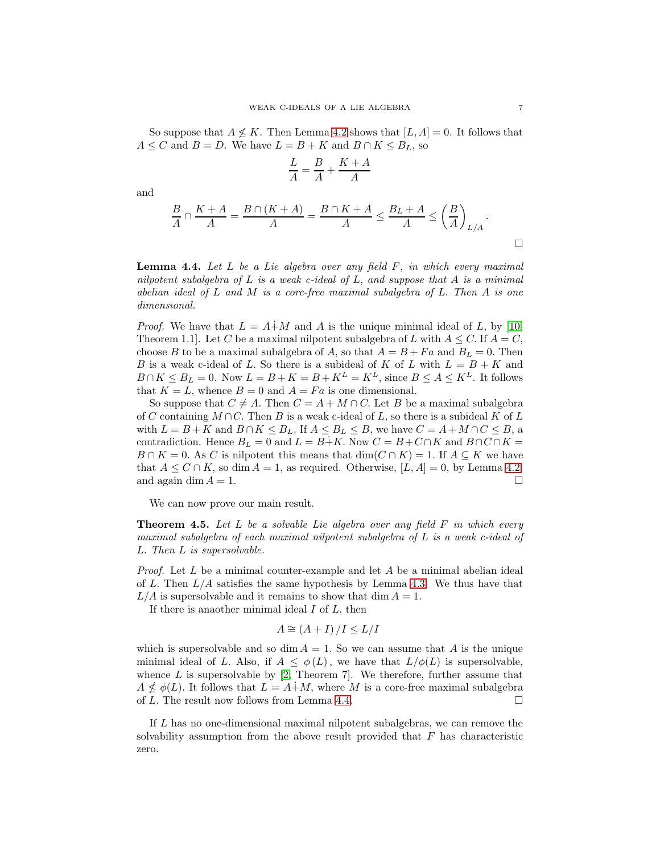So suppose that  $A \nleq K$ . Then Lemma [4.2](#page-5-1) shows that  $[L, A] = 0$ . It follows that  $A \leq C$  and  $B = D$ . We have  $L = B + K$  and  $B \cap K \leq B_L$ , so

$$
\frac{L}{A}=\frac{B}{A}+\frac{K+A}{A}
$$

and

$$
\frac{B}{A} \cap \frac{K+A}{A} = \frac{B \cap (K+A)}{A} = \frac{B \cap K+A}{A} \le \frac{B_L+A}{A} \le \left(\frac{B}{A}\right)_{L/A}.
$$

<span id="page-6-0"></span>Lemma 4.4. *Let* L *be a Lie algebra over any field* F*, in which every maximal nilpotent subalgebra of* L *is a weak c-ideal of* L, *and suppose that* A *is a minimal abelian ideal of* L *and* M *is a core-free maximal subalgebra of* L. *Then* A *is one dimensional.*

*Proof.* We have that  $L = A + M$  and A is the unique minimal ideal of L, by [\[10,](#page-8-7) Theorem 1.1. Let C be a maximal nilpotent subalgebra of L with  $A \leq C$ . If  $A = C$ , choose B to be a maximal subalgebra of A, so that  $A = B + Fa$  and  $B<sub>L</sub> = 0$ . Then B is a weak c-ideal of L. So there is a subideal of K of L with  $L = B + K$  and  $B \cap K \leq B_L = 0$ . Now  $L = B + K = B + K^L = K^L$ , since  $B \leq A \leq K^L$ . It follows that  $K = L$ , whence  $B = 0$  and  $A = Fa$  is one dimensional.

So suppose that  $C \neq A$ . Then  $C = A + M \cap C$ . Let B be a maximal subalgebra of C containing  $M \cap C$ . Then B is a weak c-ideal of L, so there is a subideal K of L with  $L = B + K$  and  $B \cap K \leq B_L$ . If  $A \leq B_L \leq B$ , we have  $C = A + M \cap C \leq B$ , a contradiction. Hence  $B_L = 0$  and  $L = B + K$ . Now  $C = B + C \cap K$  and  $B \cap C \cap K =$  $B \cap K = 0$ . As C is nilpotent this means that  $\dim(C \cap K) = 1$ . If  $A \subseteq K$  we have that  $A \leq C \cap K$ , so dim  $A = 1$ , as required. Otherwise, [L, A] = 0, by Lemma [4.2,](#page-5-1) and again dim  $A = 1$ .

We can now prove our main result.

<span id="page-6-1"></span>Theorem 4.5. *Let* L *be a solvable Lie algebra over any field* F *in which every maximal subalgebra of each maximal nilpotent subalgebra of* L *is a weak c-ideal of* L. *Then* L *is supersolvable.*

*Proof.* Let L be a minimal counter-example and let A be a minimal abelian ideal of L. Then  $L/A$  satisfies the same hypothesis by Lemma [4.3.](#page-5-2) We thus have that  $L/A$  is supersolvable and it remains to show that dim  $A = 1$ .

If there is an aother minimal ideal  $I$  of  $L$ , then

$$
A \cong (A+I)/I \leq L/I
$$

which is supersolvable and so dim  $A = 1$ . So we can assume that A is the unique minimal ideal of L. Also, if  $A \leq \phi(L)$ , we have that  $L/\phi(L)$  is supersolvable, whence  $L$  is supersolvable by  $[2,$  Theorem 7. We therefore, further assume that  $A \nleq \phi(L)$ . It follows that  $L = A + M$ , where M is a core-free maximal subalgebra of L. The result now follows from Lemma [4.4.](#page-6-0)  $\Box$ 

If L has no one-dimensional maximal nilpotent subalgebras, we can remove the solvability assumption from the above result provided that  $F$  has characteristic zero.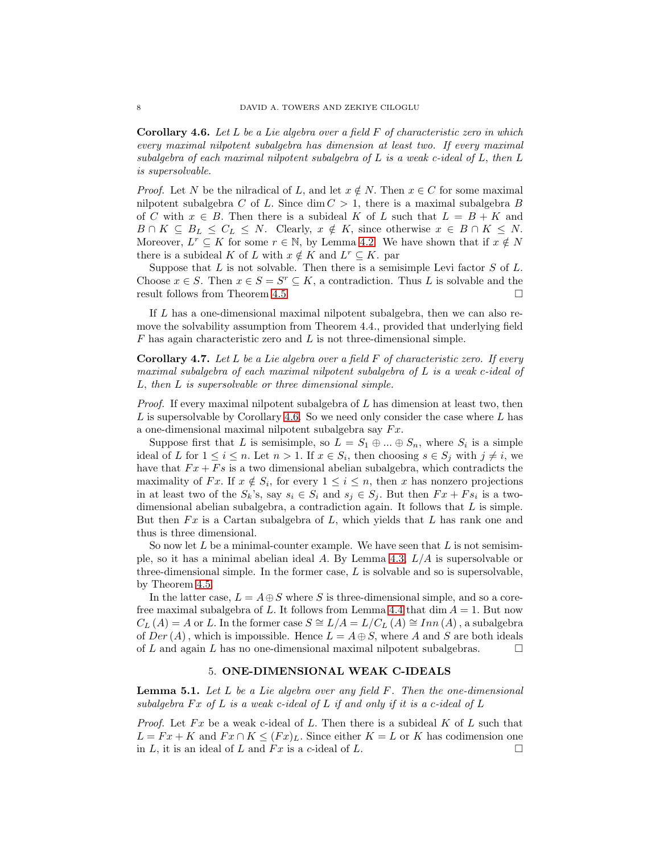<span id="page-7-0"></span>Corollary 4.6. *Let* L *be a Lie algebra over a field* F *of characteristic zero in which every maximal nilpotent subalgebra has dimension at least two. If every maximal subalgebra of each maximal nilpotent subalgebra of* L *is a weak c-ideal of* L, *then* L *is supersolvable.*

*Proof.* Let N be the nilradical of L, and let  $x \notin N$ . Then  $x \in C$  for some maximal nilpotent subalgebra C of L. Since dim  $C > 1$ , there is a maximal subalgebra B of C with  $x \in B$ . Then there is a subideal K of L such that  $L = B + K$  and  $B \cap K \subseteq B_L \leq C_L \leq N$ . Clearly,  $x \notin K$ , since otherwise  $x \in B \cap K \leq N$ . Moreover,  $L^r \subseteq K$  for some  $r \in \mathbb{N}$ , by Lemma [4.2.](#page-5-1) We have shown that if  $x \notin N$ there is a subideal K of L with  $x \notin K$  and  $L^r \subseteq K$ . par

Suppose that  $L$  is not solvable. Then there is a semisimple Levi factor  $S$  of  $L$ . Choose  $x \in S$ . Then  $x \in S = S^r \subseteq K$ , a contradiction. Thus L is solvable and the result follows from Theorem [4.5.](#page-6-1)

If L has a one-dimensional maximal nilpotent subalgebra, then we can also remove the solvability assumption from Theorem 4.4., provided that underlying field  $F$  has again characteristic zero and  $L$  is not three-dimensional simple.

Corollary 4.7. *Let* L *be a Lie algebra over a field* F *of characteristic zero. If every maximal subalgebra of each maximal nilpotent subalgebra of* L *is a weak* c*-ideal of* L, *then* L *is supersolvable or three dimensional simple.*

*Proof.* If every maximal nilpotent subalgebra of L has dimension at least two, then L is supersolvable by Corollary [4.6.](#page-7-0) So we need only consider the case where L has a one-dimensional maximal nilpotent subalgebra say  $Fx$ .

Suppose first that L is semisimple, so  $L = S_1 \oplus ... \oplus S_n$ , where  $S_i$  is a simple ideal of L for  $1 \leq i \leq n$ . Let  $n > 1$ . If  $x \in S_i$ , then choosing  $s \in S_j$  with  $j \neq i$ , we have that  $Fx + Fs$  is a two dimensional abelian subalgebra, which contradicts the maximality of Fx. If  $x \notin S_i$ , for every  $1 \leq i \leq n$ , then x has nonzero projections in at least two of the  $S_k$ 's, say  $s_i \in S_i$  and  $s_j \in S_j$ . But then  $Fx + Fs_i$  is a twodimensional abelian subalgebra, a contradiction again. It follows that L is simple. But then  $Fx$  is a Cartan subalgebra of L, which yields that L has rank one and thus is three dimensional.

So now let  $L$  be a minimal-counter example. We have seen that  $L$  is not semisim-ple, so it has a minimal abelian ideal A. By Lemma [4.3,](#page-5-2)  $L/A$  is supersolvable or three-dimensional simple. In the former case,  $L$  is solvable and so is supersolvable, by Theorem [4.5.](#page-6-1)

In the latter case,  $L = A \oplus S$  where S is three-dimensional simple, and so a core-free maximal subalgebra of L. It follows from Lemma [4.4](#page-6-0) that  $\dim A = 1$ . But now  $C_L(A) = A$  or L. In the former case  $S \cong L/A = L/C_L(A) \cong Inn(A)$ , a subalgebra of  $Der(A)$ , which is impossible. Hence  $L = A \oplus S$ , where A and S are both ideals of L and again L has no one-dimensional maximal nilpotent subalgebras.  $\Box$ 

### 5. ONE-DIMENSIONAL WEAK C-IDEALS

<span id="page-7-1"></span>Lemma 5.1. *Let* L *be a Lie algebra over any field* F*. Then the one-dimensional* subalgebra  $Fx$  of  $L$  *is a weak c-ideal of*  $L$  *if and only if it is a c-ideal of*  $L$ 

*Proof.* Let  $Fx$  be a weak c-ideal of L. Then there is a subideal K of L such that  $L = Fx + K$  and  $Fx \cap K \leq (Fx)_{L}$ . Since either  $K = L$  or K has codimension one in L, it is an ideal of L and Fx is a c-ideal of L.